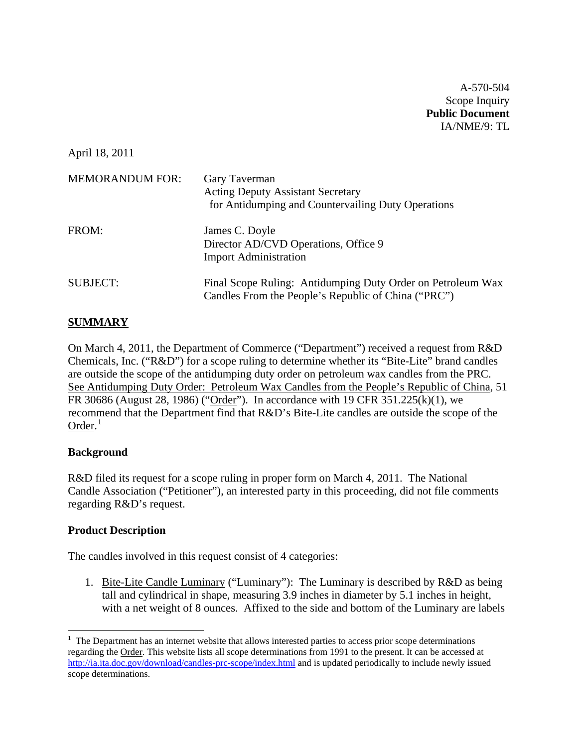A-570-504 Scope Inquiry **Public Document**  IA/NME/9: TL

April 18, 2011

| <b>MEMORANDUM FOR:</b> | Gary Taverman<br><b>Acting Deputy Assistant Secretary</b><br>for Antidumping and Countervailing Duty Operations    |
|------------------------|--------------------------------------------------------------------------------------------------------------------|
| FROM:                  | James C. Doyle<br>Director AD/CVD Operations, Office 9<br><b>Import Administration</b>                             |
| <b>SUBJECT:</b>        | Final Scope Ruling: Antidumping Duty Order on Petroleum Wax<br>Candles From the People's Republic of China ("PRC") |

### **SUMMARY**

On March 4, 2011, the Department of Commerce ("Department") received a request from R&D Chemicals, Inc. ("R&D") for a scope ruling to determine whether its "Bite-Lite" brand candles are outside the scope of the antidumping duty order on petroleum wax candles from the PRC. See Antidumping Duty Order: Petroleum Wax Candles from the People's Republic of China, 51 FR 30686 (August 28, 1986) ("Order"). In accordance with 19 CFR 351.225(k)(1), we recommend that the Department find that R&D's Bite-Lite candles are outside the scope of the Order.<sup>[1](#page-0-0)</sup>

### **Background**

R&D filed its request for a scope ruling in proper form on March 4, 2011. The National Candle Association ("Petitioner"), an interested party in this proceeding, did not file comments regarding R&D's request.

#### **Product Description**

The candles involved in this request consist of 4 categories:

1. Bite-Lite Candle Luminary ("Luminary"): The Luminary is described by R&D as being tall and cylindrical in shape, measuring 3.9 inches in diameter by 5.1 inches in height, with a net weight of 8 ounces. Affixed to the side and bottom of the Luminary are labels

<span id="page-0-0"></span><sup>&</sup>lt;sup>1</sup> The Department has an internet website that allows interested parties to access prior scope determinations regarding the Order. This website lists all scope determinations from 1991 to the present. It can be accessed at <http://ia.ita.doc.gov/download/candles-prc-scope/index.html> and is updated periodically to include newly issued scope determinations.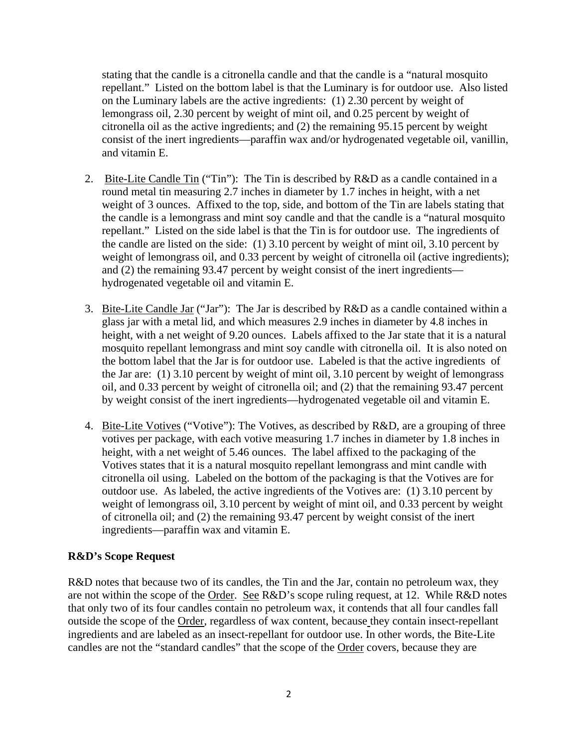stating that the candle is a citronella candle and that the candle is a "natural mosquito repellant." Listed on the bottom label is that the Luminary is for outdoor use. Also listed on the Luminary labels are the active ingredients: (1) 2.30 percent by weight of lemongrass oil, 2.30 percent by weight of mint oil, and 0.25 percent by weight of citronella oil as the active ingredients; and (2) the remaining 95.15 percent by weight consist of the inert ingredients—paraffin wax and/or hydrogenated vegetable oil, vanillin, and vitamin E.

- 2. Bite-Lite Candle Tin ("Tin"): The Tin is described by R&D as a candle contained in a round metal tin measuring 2.7 inches in diameter by 1.7 inches in height, with a net weight of 3 ounces. Affixed to the top, side, and bottom of the Tin are labels stating that the candle is a lemongrass and mint soy candle and that the candle is a "natural mosquito repellant." Listed on the side label is that the Tin is for outdoor use. The ingredients of the candle are listed on the side: (1) 3.10 percent by weight of mint oil, 3.10 percent by weight of lemongrass oil, and 0.33 percent by weight of citronella oil (active ingredients); and (2) the remaining 93.47 percent by weight consist of the inert ingredients hydrogenated vegetable oil and vitamin E.
- 3. Bite-Lite Candle Jar ("Jar"): The Jar is described by R&D as a candle contained within a glass jar with a metal lid, and which measures 2.9 inches in diameter by 4.8 inches in height, with a net weight of 9.20 ounces. Labels affixed to the Jar state that it is a natural mosquito repellant lemongrass and mint soy candle with citronella oil. It is also noted on the bottom label that the Jar is for outdoor use. Labeled is that the active ingredients of the Jar are: (1) 3.10 percent by weight of mint oil, 3.10 percent by weight of lemongrass oil, and 0.33 percent by weight of citronella oil; and (2) that the remaining 93.47 percent by weight consist of the inert ingredients—hydrogenated vegetable oil and vitamin E.
- 4. Bite-Lite Votives ("Votive"): The Votives, as described by R&D, are a grouping of three votives per package, with each votive measuring 1.7 inches in diameter by 1.8 inches in height, with a net weight of 5.46 ounces. The label affixed to the packaging of the Votives states that it is a natural mosquito repellant lemongrass and mint candle with citronella oil using. Labeled on the bottom of the packaging is that the Votives are for outdoor use. As labeled, the active ingredients of the Votives are: (1) 3.10 percent by weight of lemongrass oil, 3.10 percent by weight of mint oil, and 0.33 percent by weight of citronella oil; and (2) the remaining 93.47 percent by weight consist of the inert ingredients—paraffin wax and vitamin E.

### **R&D's Scope Request**

R&D notes that because two of its candles, the Tin and the Jar, contain no petroleum wax, they are not within the scope of the Order. See R&D's scope ruling request, at 12. While R&D notes that only two of its four candles contain no petroleum wax, it contends that all four candles fall outside the scope of the Order, regardless of wax content, because they contain insect-repellant ingredients and are labeled as an insect-repellant for outdoor use. In other words, the Bite-Lite candles are not the "standard candles" that the scope of the Order covers, because they are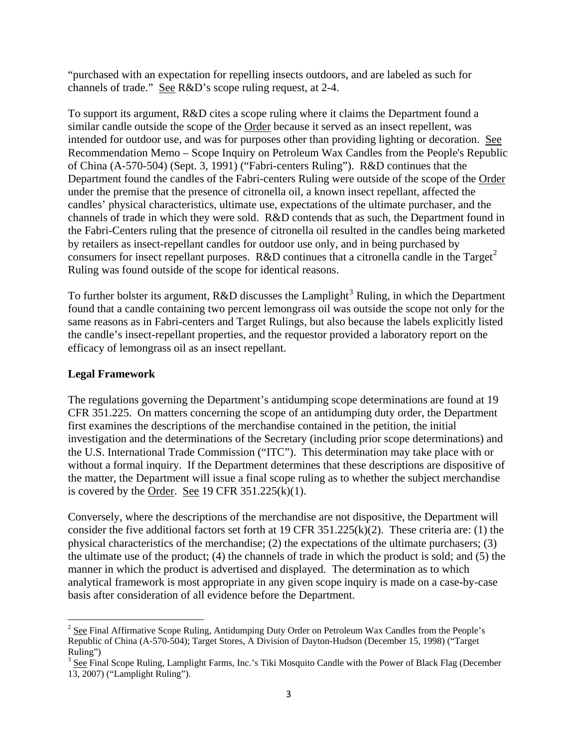"purchased with an expectation for repelling insects outdoors, and are labeled as such for channels of trade." See R&D's scope ruling request, at 2-4.

To support its argument, R&D cites a scope ruling where it claims the Department found a similar candle outside the scope of the Order because it served as an insect repellent, was intended for outdoor use, and was for purposes other than providing lighting or decoration. See Recommendation Memo – Scope Inquiry on Petroleum Wax Candles from the People's Republic of China (A-570-504) (Sept. 3, 1991) ("Fabri-centers Ruling"). R&D continues that the Department found the candles of the Fabri-centers Ruling were outside of the scope of the Order under the premise that the presence of citronella oil, a known insect repellant, affected the candles' physical characteristics, ultimate use, expectations of the ultimate purchaser, and the channels of trade in which they were sold. R&D contends that as such, the Department found in the Fabri-Centers ruling that the presence of citronella oil resulted in the candles being marketed by retailers as insect-repellant candles for outdoor use only, and in being purchased by consumers for insect repellant purposes. R&D continues that a citronella candle in the Target<sup>[2](#page-2-0)</sup> Ruling was found outside of the scope for identical reasons.

To further bolster its argument, R&D discusses the Lamplight<sup>[3](#page-2-1)</sup> Ruling, in which the Department found that a candle containing two percent lemongrass oil was outside the scope not only for the same reasons as in Fabri-centers and Target Rulings, but also because the labels explicitly listed the candle's insect-repellant properties, and the requestor provided a laboratory report on the efficacy of lemongrass oil as an insect repellant.

### **Legal Framework**

The regulations governing the Department's antidumping scope determinations are found at 19 CFR 351.225. On matters concerning the scope of an antidumping duty order, the Department first examines the descriptions of the merchandise contained in the petition, the initial investigation and the determinations of the Secretary (including prior scope determinations) and the U.S. International Trade Commission ("ITC"). This determination may take place with or without a formal inquiry. If the Department determines that these descriptions are dispositive of the matter, the Department will issue a final scope ruling as to whether the subject merchandise is covered by the Order. See 19 CFR  $351.225(k)(1)$ .

Conversely, where the descriptions of the merchandise are not dispositive, the Department will consider the five additional factors set forth at 19 CFR  $351.225(k)(2)$ . These criteria are: (1) the physical characteristics of the merchandise; (2) the expectations of the ultimate purchasers; (3) the ultimate use of the product; (4) the channels of trade in which the product is sold; and (5) the manner in which the product is advertised and displayed. The determination as to which analytical framework is most appropriate in any given scope inquiry is made on a case-by-case basis after consideration of all evidence before the Department.

<span id="page-2-0"></span> $2$  See Final Affirmative Scope Ruling, Antidumping Duty Order on Petroleum Wax Candles from the People's Republic of China (A-570-504); Target Stores, A Division of Dayton-Hudson (December 15, 1998) ("Target Ruling")

<span id="page-2-1"></span> $3$  See Final Scope Ruling, Lamplight Farms, Inc.'s Tiki Mosquito Candle with the Power of Black Flag (December 13, 2007) ("Lamplight Ruling").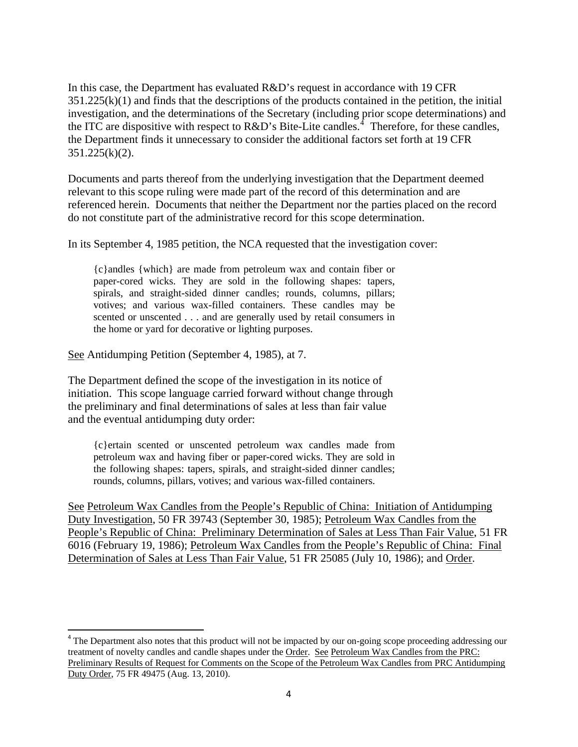In this case, the Department has evaluated R&D's request in accordance with 19 CFR  $351.225(k)(1)$  and finds that the descriptions of the products contained in the petition, the initial investigation, and the determinations of the Secretary (including prior scope determinations) and the ITC are dispositive with respect to R&D's Bite-Lite candles.<sup>[4](#page-3-0)</sup> Therefore, for these candles, the Department finds it unnecessary to consider the additional factors set forth at 19 CFR  $351.225(k)(2)$ .

Documents and parts thereof from the underlying investigation that the Department deemed relevant to this scope ruling were made part of the record of this determination and are referenced herein. Documents that neither the Department nor the parties placed on the record do not constitute part of the administrative record for this scope determination.

In its September 4, 1985 petition, the NCA requested that the investigation cover:

{c}andles {which} are made from petroleum wax and contain fiber or paper-cored wicks. They are sold in the following shapes: tapers, spirals, and straight-sided dinner candles; rounds, columns, pillars; votives; and various wax-filled containers. These candles may be scented or unscented . . . and are generally used by retail consumers in the home or yard for decorative or lighting purposes.

See Antidumping Petition (September 4, 1985), at 7.

The Department defined the scope of the investigation in its notice of initiation. This scope language carried forward without change through the preliminary and final determinations of sales at less than fair value and the eventual antidumping duty order:

{c}ertain scented or unscented petroleum wax candles made from petroleum wax and having fiber or paper-cored wicks. They are sold in the following shapes: tapers, spirals, and straight-sided dinner candles; rounds, columns, pillars, votives; and various wax-filled containers.

See Petroleum Wax Candles from the People's Republic of China: Initiation of Antidumping Duty Investigation, 50 FR 39743 (September 30, 1985); Petroleum Wax Candles from the People's Republic of China: Preliminary Determination of Sales at Less Than Fair Value, 51 FR 6016 (February 19, 1986); Petroleum Wax Candles from the People's Republic of China: Final Determination of Sales at Less Than Fair Value, 51 FR 25085 (July 10, 1986); and Order.

<span id="page-3-0"></span><sup>&</sup>lt;sup>4</sup> The Department also notes that this product will not be impacted by our on-going scope proceeding addressing our treatment of novelty candles and candle shapes under the Order. See Petroleum Wax Candles from the PRC: Preliminary Results of Request for Comments on the Scope of the Petroleum Wax Candles from PRC Antidumping Duty Order, 75 FR 49475 (Aug. 13, 2010).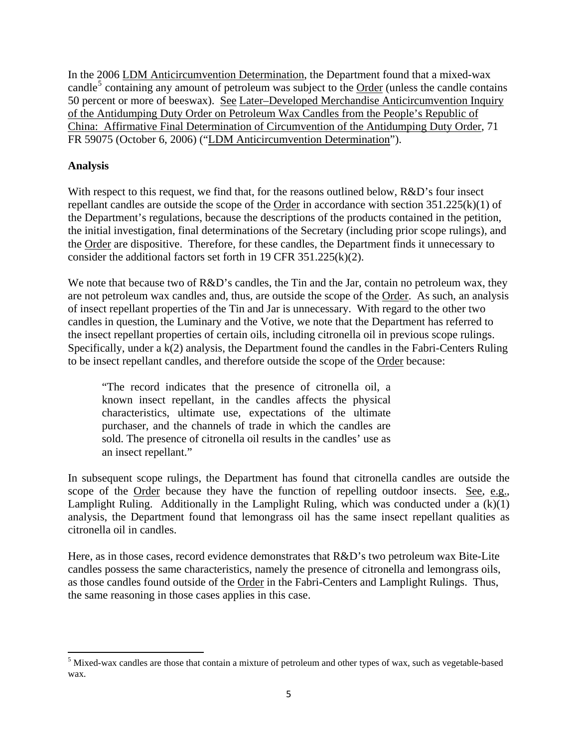In the 2006 LDM Anticircumvention Determination, the Department found that a mixed-wax candle<sup>[5](#page-4-0)</sup> containing any amount of petroleum was subject to the Order (unless the candle contains 50 percent or more of beeswax). See Later–Developed Merchandise Anticircumvention Inquiry of the Antidumping Duty Order on Petroleum Wax Candles from the People's Republic of China: Affirmative Final Determination of Circumvention of the Antidumping Duty Order, 71 FR 59075 (October 6, 2006) ("LDM Anticircumvention Determination").

# **Analysis**

With respect to this request, we find that, for the reasons outlined below,  $R&D$ 's four insect repellant candles are outside the scope of the Order in accordance with section 351.225(k)(1) of the Department's regulations, because the descriptions of the products contained in the petition, the initial investigation, final determinations of the Secretary (including prior scope rulings), and the Order are dispositive. Therefore, for these candles, the Department finds it unnecessary to consider the additional factors set forth in 19 CFR 351.225(k)(2).

We note that because two of R&D's candles, the Tin and the Jar, contain no petroleum wax, they are not petroleum wax candles and, thus, are outside the scope of the Order. As such, an analysis of insect repellant properties of the Tin and Jar is unnecessary. With regard to the other two candles in question, the Luminary and the Votive, we note that the Department has referred to the insect repellant properties of certain oils, including citronella oil in previous scope rulings. Specifically, under a k(2) analysis, the Department found the candles in the Fabri-Centers Ruling to be insect repellant candles, and therefore outside the scope of the Order because:

"The record indicates that the presence of citronella oil, a known insect repellant, in the candles affects the physical characteristics, ultimate use, expectations of the ultimate purchaser, and the channels of trade in which the candles are sold. The presence of citronella oil results in the candles' use as an insect repellant."

In subsequent scope rulings, the Department has found that citronella candles are outside the scope of the Order because they have the function of repelling outdoor insects. See, e.g., Lamplight Ruling. Additionally in the Lamplight Ruling, which was conducted under a  $(k)(1)$ analysis, the Department found that lemongrass oil has the same insect repellant qualities as citronella oil in candles.

Here, as in those cases, record evidence demonstrates that R&D's two petroleum wax Bite-Lite candles possess the same characteristics, namely the presence of citronella and lemongrass oils, as those candles found outside of the Order in the Fabri-Centers and Lamplight Rulings. Thus, the same reasoning in those cases applies in this case.

<span id="page-4-0"></span><sup>&</sup>lt;sup>5</sup> Mixed-wax candles are those that contain a mixture of petroleum and other types of wax, such as vegetable-based wax.